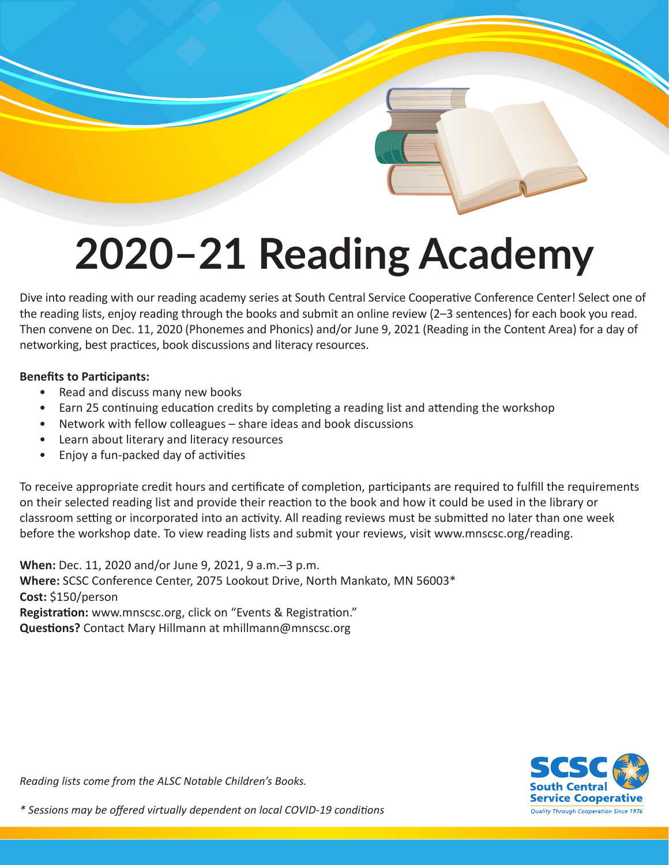# **2020–21 Reading Academy**

Dive into reading with our reading academy series at South Central Service Cooperative Conference Center! Select one of the reading lists, enjoy reading through the books and submit an online review (2–3 sentences) for each book you read. Then convene on Dec. 11, 2020 (Phonemes and Phonics) and/or June 9, 2021 (Reading in the Content Area) for a day of networking, best practices, book discussions and literacy resources.

#### **Benefits to Participants:**

- Read and discuss many new books
- Earn 25 continuing education credits by completing a reading list and attending the workshop
- Network with fellow colleagues share ideas and book discussions
- Learn about literary and literacy resources
- Enjoy a fun-packed day of activities

To receive appropriate credit hours and certificate of completion, participants are required to fulfill the requirements on their selected reading list and provide their reaction to the book and how it could be used in the library or classroom setting or incorporated into an activity. All reading reviews must be submitted no later than one week before the workshop date. To view reading lists and submit your reviews, visit www.mnscsc.org/reading.

**When:** Dec. 11, 2020 and/or June 9, 2021, 9 a.m.–3 p.m. **Where:** SCSC Conference Center, 2075 Lookout Drive, North Mankato, MN 56003\* **Cost:** \$150/person **Registration:** www.mnscsc.org, click on "Events & Registration." **Questions?** Contact Mary Hillmann at mhillmann@mnscsc.org



*Reading lists come from the ALSC Notable Children's Books.*

*\* Sessions may be offered virtually dependent on local COVID-19 conditions*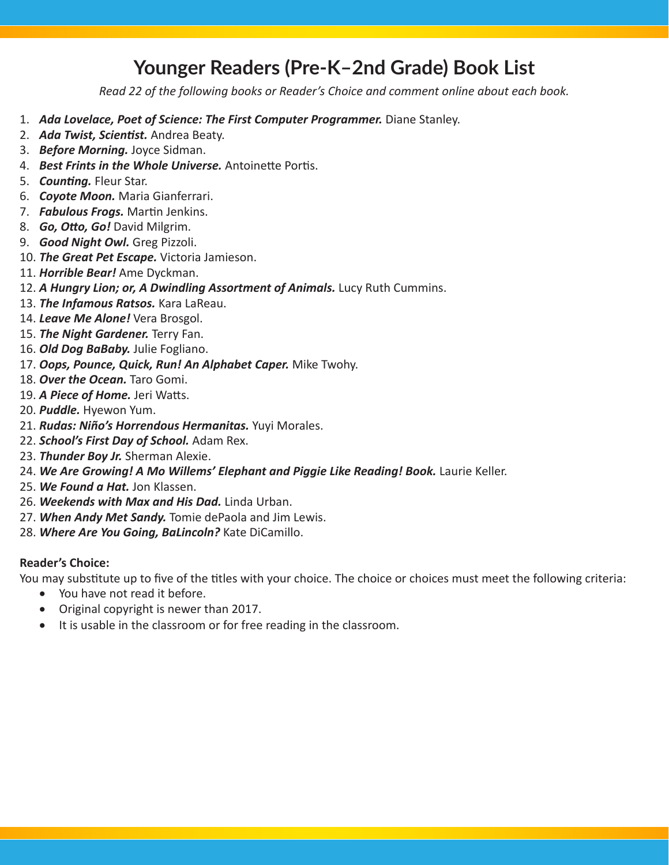## **Younger Readers (Pre-K–2nd Grade) Book List**

*Read 22 of the following books or Reader's Choice and comment online about each book.*

- 1. *Ada Lovelace, Poet of Science: The First Computer Programmer. Diane Stanley.*
- 2. *Ada Twist, Scientist.* Andrea Beaty.
- 3. *Before Morning.* Joyce Sidman.
- 4. *Best Frints in the Whole Universe.* Antoinette Portis.
- 5. *Counting.* Fleur Star.
- 6. *Coyote Moon.* Maria Gianferrari.
- 7. *Fabulous Frogs.* Martin Jenkins.
- 8. *Go, Otto, Go!* David Milgrim.
- 9. *Good Night Owl.* Greg Pizzoli.
- 10. *The Great Pet Escape.* Victoria Jamieson.
- 11. *Horrible Bear!* Ame Dyckman.
- 12. *A Hungry Lion; or, A Dwindling Assortment of Animals.* Lucy Ruth Cummins.
- 13. *The Infamous Ratsos.* Kara LaReau.
- 14. *Leave Me Alone!* Vera Brosgol.
- 15. *The Night Gardener.* Terry Fan.
- 16. *Old Dog BaBaby.* Julie Fogliano.
- 17. *Oops, Pounce, Quick, Run! An Alphabet Caper.* Mike Twohy.
- 18. *Over the Ocean.* Taro Gomi.
- 19. *A Piece of Home.* Jeri Watts.
- 20. *Puddle.* Hyewon Yum.
- 21. *Rudas: Niño's Horrendous Hermanitas.* Yuyi Morales.
- 22. *School's First Day of School.* Adam Rex.
- 23. *Thunder Boy Jr.* Sherman Alexie.
- 24. We Are Growing! A Mo Willems' Elephant and Piggie Like Reading! Book. Laurie Keller.
- 25. *We Found a Hat.* Jon Klassen.
- 26. *Weekends with Max and His Dad.* Linda Urban.
- 27. *When Andy Met Sandy.* Tomie dePaola and Jim Lewis.
- 28. *Where Are You Going, BaLincoln?* Kate DiCamillo.

#### **Reader's Choice:**

You may substitute up to five of the titles with your choice. The choice or choices must meet the following criteria:

- You have not read it before.
- • Original copyright is newer than 2017.
- It is usable in the classroom or for free reading in the classroom.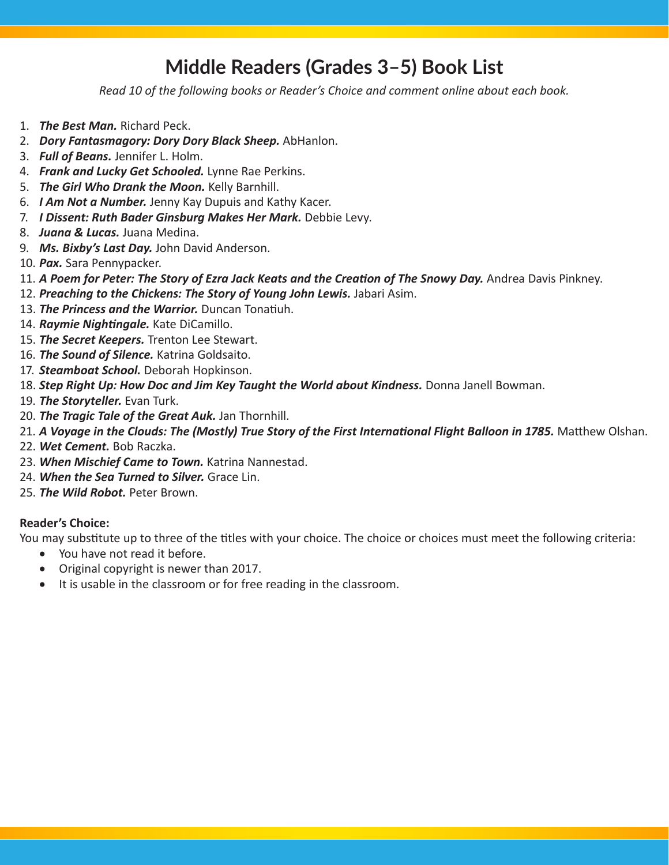## **Middle Readers (Grades 3–5) Book List**

*Read 10 of the following books or Reader's Choice and comment online about each book.*

- 1. *The Best Man.* Richard Peck.
- 2. *Dory Fantasmagory: Dory Dory Black Sheep.* AbHanlon.
- 3. *Full of Beans.* Jennifer L. Holm.
- 4. *Frank and Lucky Get Schooled.* Lynne Rae Perkins.
- 5. *The Girl Who Drank the Moon.* Kelly Barnhill.
- 6. *I Am Not a Number.* Jenny Kay Dupuis and Kathy Kacer.
- 7. *I Dissent: Ruth Bader Ginsburg Makes Her Mark.* Debbie Levy.
- 8. *Juana & Lucas.* Juana Medina.
- 9. *Ms. Bixby's Last Day.* John David Anderson.
- 10. *Pax.* Sara Pennypacker.
- 11. *A Poem for Peter: The Story of Ezra Jack Keats and the Creation of The Snowy Day.* Andrea Davis Pinkney.
- 12. Preaching to the Chickens: The Story of Young John Lewis. Jabari Asim.
- 13. *The Princess and the Warrior.* Duncan Tonatiuh.
- 14. *Raymie Nightingale.* Kate DiCamillo.
- 15. *The Secret Keepers.* Trenton Lee Stewart.
- 16. *The Sound of Silence.* Katrina Goldsaito.
- 17. *Steamboat School.* Deborah Hopkinson.
- 18. *Step Right Up: How Doc and Jim Key Taught the World about Kindness.* Donna Janell Bowman.
- 19. *The Storyteller.* Evan Turk.
- 20. *The Tragic Tale of the Great Auk.* Jan Thornhill.
- 21. A Voyage in the Clouds: The (Mostly) True Story of the First International Flight Balloon in 1785. Matthew Olshan.
- 22. *Wet Cement.* Bob Raczka.
- 23. *When Mischief Came to Town.* Katrina Nannestad.
- 24. *When the Sea Turned to Silver.* Grace Lin.
- 25. *The Wild Robot.* Peter Brown.

### **Reader's Choice:**

You may substitute up to three of the titles with your choice. The choice or choices must meet the following criteria:

- You have not read it before.
- • Original copyright is newer than 2017.
- It is usable in the classroom or for free reading in the classroom.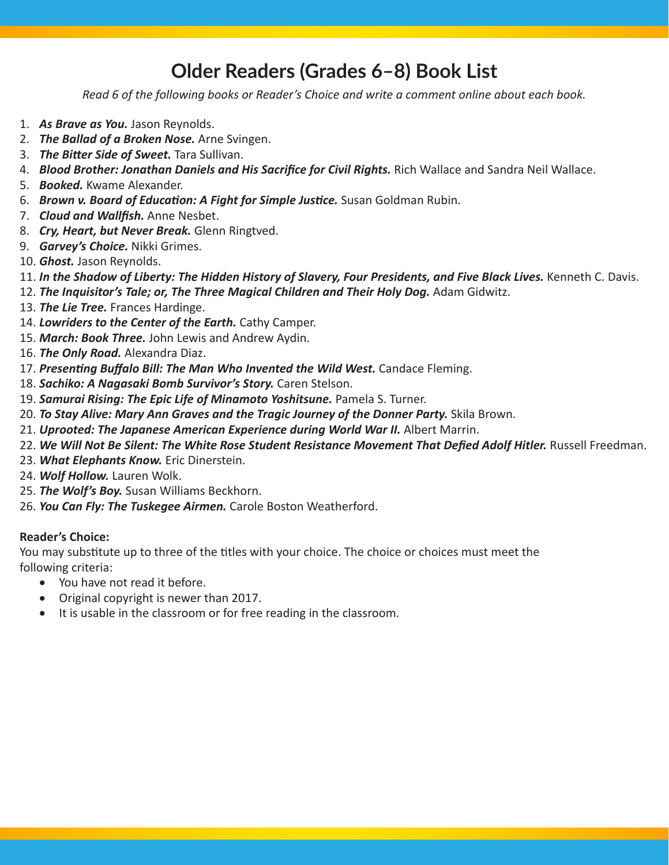## **Older Readers (Grades 6–8) Book List**

*Read 6 of the following books or Reader's Choice and write a comment online about each book.*

- 1. *As Brave as You.* Jason Reynolds.
- 2. *The Ballad of a Broken Nose.* Arne Svingen.
- 3. *The Bitter Side of Sweet.* Tara Sullivan.
- 4. *Blood Brother: Jonathan Daniels and His Sacrifice for Civil Rights.* Rich Wallace and Sandra Neil Wallace.
- 5. *Booked.* Kwame Alexander.
- 6. *Brown v. Board of Education: A Fight for Simple Justice.* Susan Goldman Rubin.
- 7. *Cloud and Wallfish.* Anne Nesbet.
- 8. *Cry, Heart, but Never Break.* Glenn Ringtved.
- 9. *Garvey's Choice.* Nikki Grimes.
- 10. *Ghost.* Jason Reynolds.
- 11. In the Shadow of Liberty: The Hidden History of Slavery, Four Presidents, and Five Black Lives. Kenneth C. Davis.
- 12. The Inquisitor's Tale; or, The Three Magical Children and Their Holy Dog. Adam Gidwitz.
- 13. *The Lie Tree.* Frances Hardinge.
- 14. *Lowriders to the Center of the Earth.* Cathy Camper.
- 15. *March: Book Three.* John Lewis and Andrew Aydin.
- 16. *The Only Road.* Alexandra Diaz.
- 17. *Presenting Buffalo Bill: The Man Who Invented the Wild West.* Candace Fleming.
- 18. *Sachiko: A Nagasaki Bomb Survivor's Story.* Caren Stelson.
- 19. **Samurai Rising: The Epic Life of Minamoto Yoshitsune.** Pamela S. Turner.
- 20. *To Stay Alive: Mary Ann Graves and the Tragic Journey of the Donner Party. Skila Brown.*
- 21. *Uprooted: The Japanese American Experience during World War II.* Albert Marrin.
- 22. We Will Not Be Silent: The White Rose Student Resistance Movement That Defied Adolf Hitler. Russell Freedman.
- 23. *What Elephants Know.* Eric Dinerstein.
- 24. *Wolf Hollow.* Lauren Wolk.
- 25. *The Wolf's Boy.* Susan Williams Beckhorn.
- 26. *You Can Fly: The Tuskegee Airmen.* Carole Boston Weatherford.

### **Reader's Choice:**

You may substitute up to three of the titles with your choice. The choice or choices must meet the following criteria:

- • You have not read it before.
- Original copyright is newer than 2017.
- It is usable in the classroom or for free reading in the classroom.